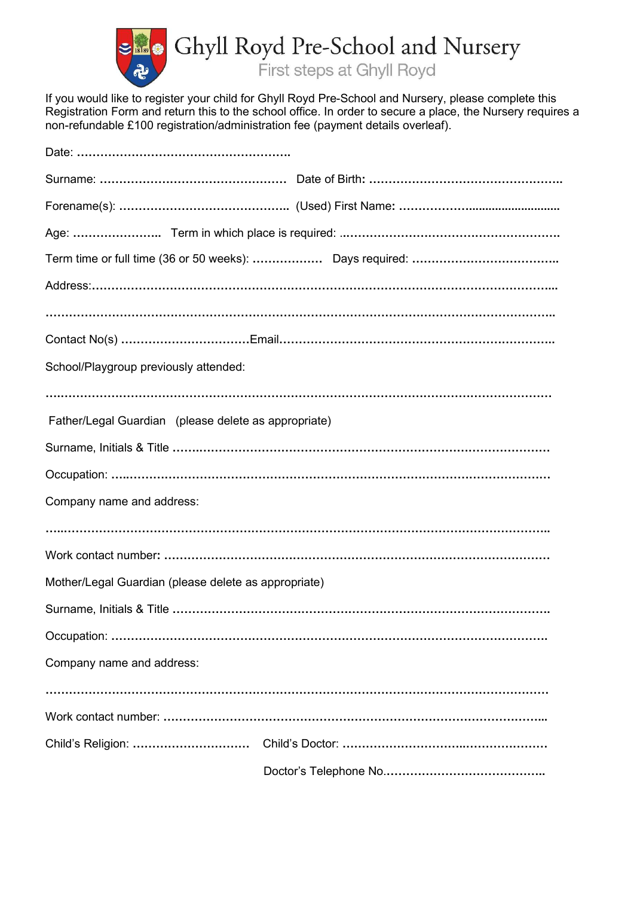

If you would like to register your child for Ghyll Royd Pre-School and Nursery, please complete this Registration Form and return this to the school office. In order to secure a place, the Nursery requires a non-refundable £100 registration/administration fee (payment details overleaf).

| School/Playgroup previously attended:                |  |
|------------------------------------------------------|--|
|                                                      |  |
| Father/Legal Guardian (please delete as appropriate) |  |
|                                                      |  |
|                                                      |  |
| Company name and address:                            |  |
|                                                      |  |
|                                                      |  |
| Mother/Legal Guardian (please delete as appropriate) |  |
|                                                      |  |
|                                                      |  |
| Company name and address:                            |  |
|                                                      |  |
|                                                      |  |
|                                                      |  |
|                                                      |  |